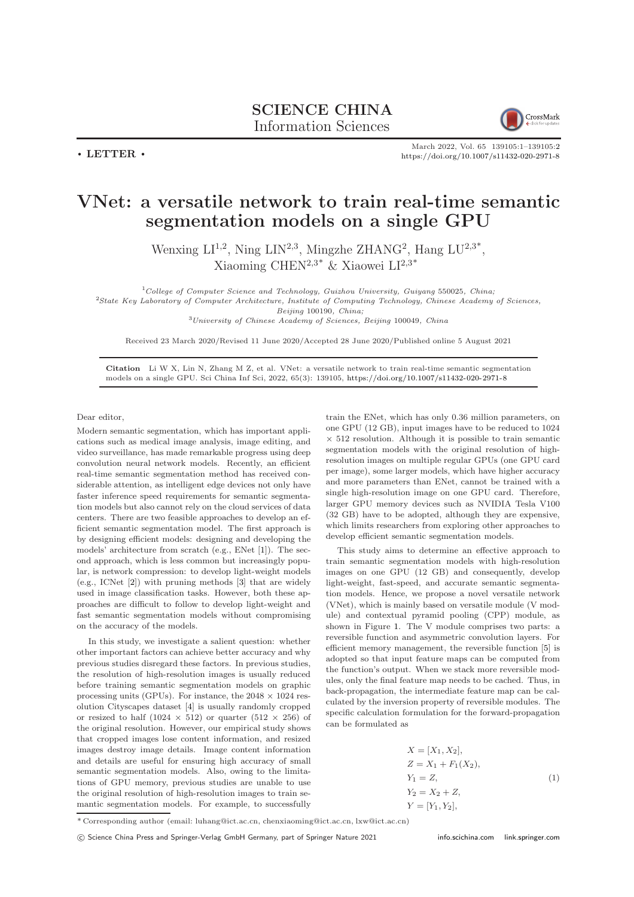

March 2022, Vol. 65 139105:1–139105[:2](#page-1-0) <https://doi.org/10.1007/s11432-020-2971-8>

## VNet: a versatile network to train real-time semantic segmentation models on a single GPU

Wenxing  $LI^{1,2}$ , Ning  $LIN^{2,3}$ , Mingzhe ZHANG<sup>2</sup>, Hang  $LU^{2,3^*}$ , Xiaoming CHEN<sup>2,3\*</sup> & Xiaowei LI<sup>2,3\*</sup>

 $1$ College of Computer Science and Technology, Guizhou University, Guiyang 550025, China;

<sup>2</sup>State Key Laboratory of Computer Architecture, Institute of Computing Technology, Chinese Academy of Sciences, Beijing 100190, China;

<sup>3</sup>University of Chinese Academy of Sciences, Beijing 100049, China

Received 23 March 2020/Revised 11 June 2020/Accepted 28 June 2020/Published online 5 August 2021

Citation Li W X, Lin N, Zhang M Z, et al. VNet: a versatile network to train real-time semantic segmentation models on a single GPU. Sci China Inf Sci, 2022, 65(3): 139105, <https://doi.org/10.1007/s11432-020-2971-8>

Dear editor,

 $\cdot$  LETTER  $\cdot$ 

Modern semantic segmentation, which has important applications such as medical image analysis, image editing, and video surveillance, has made remarkable progress using deep convolution neural network models. Recently, an efficient real-time semantic segmentation method has received considerable attention, as intelligent edge devices not only have faster inference speed requirements for semantic segmentation models but also cannot rely on the cloud services of data centers. There are two feasible approaches to develop an efficient semantic segmentation model. The first approach is by designing efficient models: designing and developing the models' architecture from scratch (e.g., ENet [\[1\]](#page-1-1)). The second approach, which is less common but increasingly popular, is network compression: to develop light-weight models (e.g., ICNet [\[2\]](#page-1-2)) with pruning methods [\[3\]](#page-1-3) that are widely used in image classification tasks. However, both these approaches are difficult to follow to develop light-weight and fast semantic segmentation models without compromising on the accuracy of the models.

In this study, we investigate a salient question: whether other important factors can achieve better accuracy and why previous studies disregard these factors. In previous studies, the resolution of high-resolution images is usually reduced before training semantic segmentation models on graphic processing units (GPUs). For instance, the  $2048 \times 1024$  resolution Cityscapes dataset [\[4\]](#page-1-4) is usually randomly cropped or resized to half (1024  $\times$  512) or quarter (512  $\times$  256) of the original resolution. However, our empirical study shows that cropped images lose content information, and resized images destroy image details. Image content information and details are useful for ensuring high accuracy of small semantic segmentation models. Also, owing to the limitations of GPU memory, previous studies are unable to use the original resolution of high-resolution images to train semantic segmentation models. For example, to successfully train the ENet, which has only 0.36 million parameters, on one GPU (12 GB), input images have to be reduced to 1024  $\times$  512 resolution. Although it is possible to train semantic segmentation models with the original resolution of highresolution images on multiple regular GPUs (one GPU card per image), some larger models, which have higher accuracy and more parameters than ENet, cannot be trained with a single high-resolution image on one GPU card. Therefore, larger GPU memory devices such as NVIDIA Tesla V100 (32 GB) have to be adopted, although they are expensive, which limits researchers from exploring other approaches to develop efficient semantic segmentation models.

This study aims to determine an effective approach to train semantic segmentation models with high-resolution images on one GPU (12 GB) and consequently, develop light-weight, fast-speed, and accurate semantic segmentation models. Hence, we propose a novel versatile network (VNet), which is mainly based on versatile module (V module) and contextual pyramid pooling (CPP) module, as shown in Figure [1.](#page-1-5) The V module comprises two parts: a reversible function and asymmetric convolution layers. For efficient memory management, the reversible function [\[5\]](#page-1-6) is adopted so that input feature maps can be computed from the function's output. When we stack more reversible modules, only the final feature map needs to be cached. Thus, in back-propagation, the intermediate feature map can be calculated by the inversion property of reversible modules. The specific calculation formulation for the forward-propagation can be formulated as

$$
X = [X_1, X_2],
$$
  
\n
$$
Z = X_1 + F_1(X_2),
$$
  
\n
$$
Y_1 = Z,
$$
  
\n
$$
Y_2 = X_2 + Z,
$$
  
\n
$$
Y = [Y_1, Y_2],
$$
  
\n(1)

\* Corresponding author (email: luhang@ict.ac.cn, chenxiaoming@ict.ac.cn, lxw@ict.ac.cn)

c Science China Press and Springer-Verlag GmbH Germany, part of Springer Nature 2021 <info.scichina.com><link.springer.com>